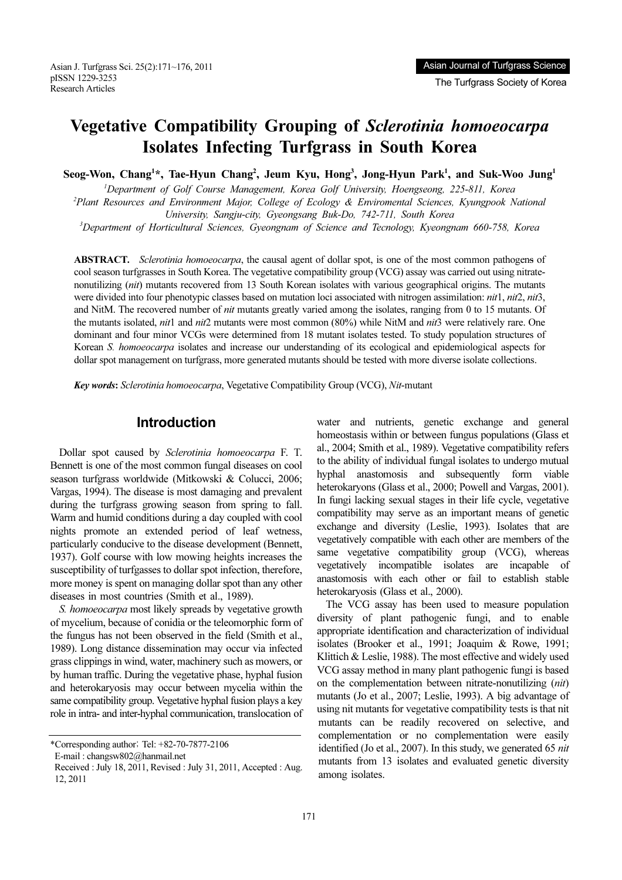Asian J. Turfgrass Sci. 25(2):171~176, 2011 pISSN 1229-3253 Research Articles

### $T_{\text{max}}$   $T_{\text{max}}$  society of  $T_{\text{max}}$

# Vegetative Compatibility Grouping of Sclerotinia homoeocarpa Isolates Infecting Turfgrass in South Korea

Seog-Won, Chang<sup>1\*</sup>, Tae-Hyun Chang<sup>2</sup>, Jeum Kyu, Hong<sup>3</sup>, Jong-Hyun Park<sup>1</sup>, and Suk-Woo Jung<sup>1</sup>

<sup>1</sup>Department of Golf Course Management, Korea Golf University, Hoengseong, 225-811, Korea<sup>2</sup> <sup>2</sup>Plant Resources and Environment Major, College of Ecology & Enviromental Sciences, Kyungpook National

University, Sangju-city, Gyeongsang Buk-Do, 742-711, South Korea <sup>3</sup>

Department of Horticultural Sciences, Gyeongnam of Science and Tecnology, Kyeongnam 660-758, Korea

ABSTRACT. Sclerotinia homoeocarpa, the causal agent of dollar spot, is one of the most common pathogens of cool season turfgrasses in South Korea. The vegetative compatibility group (VCG) assay was carried out using nitratenonutilizing (nit) mutants recovered from 13 South Korean isolates with various geographical origins. The mutants were divided into four phenotypic classes based on mutation loci associated with nitrogen assimilation: *nit1*, *nit2*, *nif3*, and NitM. The recovered number of *nit* mutants greatly varied among the isolates, ranging from 0 to 15 mutants. Of the mutants isolated, *nit1* and *nit2* mutants were most common (80%) while NitM and *nit3* were relatively rare. One dominant and four minor VCGs were determined from 18 mutant isolates tested. To study population structures of Korean S. homoeocarpa isolates and increase our understanding of its ecological and epidemiological aspects for dollar spot management on turfgrass, more generated mutants should be tested with more diverse isolate collections.

Key words: Sclerotinia homoeocarpa, Vegetative Compatibility Group (VCG), Nit-mutant

### Introduction

Dollar spot caused by Sclerotinia homoeocarpa F. T. Bennett is one of the most common fungal diseases on cool season turfgrass worldwide (Mitkowski & Colucci, 2006; Vargas, 1994). The disease is most damaging and prevalent during the turfgrass growing season from spring to fall. Warm and humid conditions during a day coupled with cool nights promote an extended period of leaf wetness, particularly conducive to the disease development (Bennett, 1937). Golf course with low mowing heights increases the susceptibility of turfgasses to dollar spot infection, therefore, more money is spent on managing dollar spot than any other diseases in most countries (Smith et al., 1989).

S. homoeocarpa most likely spreads by vegetative growth of mycelium, because of conidia or the teleomorphic form of the fungus has not been observed in the field (Smith et al., 1989). Long distance dissemination may occur via infected grass clippings in wind, water, machinery such as mowers, or by human traffic. During the vegetative phase, hyphal fusion and heterokaryosis may occur between mycelia within the same compatibility group. Vegetative hyphal fusion plays a key role in intra- and inter-hyphal communication, translocation of

water and nutrients, genetic exchange and general homeostasis within or between fungus populations (Glass et al., 2004; Smith et al., 1989). Vegetative compatibility refers to the ability of individual fungal isolates to undergo mutual hyphal anastomosis and subsequently form viable heterokaryons (Glass et al., 2000; Powell and Vargas, 2001). In fungi lacking sexual stages in their life cycle, vegetative compatibility may serve as an important means of genetic exchange and diversity (Leslie, 1993). Isolates that are vegetatively compatible with each other are members of the same vegetative compatibility group (VCG), whereas vegetatively incompatible isolates are incapable of anastomosis with each other or fail to establish stable heterokaryosis (Glass et al., 2000).

The VCG assay has been used to measure population diversity of plant pathogenic fungi, and to enable appropriate identification and characterization of individual isolates (Brooker et al., 1991; Joaquim & Rowe, 1991; Klittich & Leslie, 1988). The most effective and widely used VCG assay method in many plant pathogenic fungi is based on the complementation between nitrate-nonutilizing (nit) mutants (Jo et al., 2007; Leslie, 1993). A big advantage of using nit mutants for vegetative compatibility tests is that nit mutants can be readily recovered on selective, and complementation or no complementation were easily identified (Jo et al., 2007). In this study, we generated 65 nit mutants from 13 isolates and evaluated genetic diversity among isolates.

<sup>\*</sup>Corresponding author; Tel: +82-70-7877-2106

E-mail : changsw802@hanmail.net

Received : July 18, 2011, Revised : July 31, 2011, Accepted : Aug. 12, 2011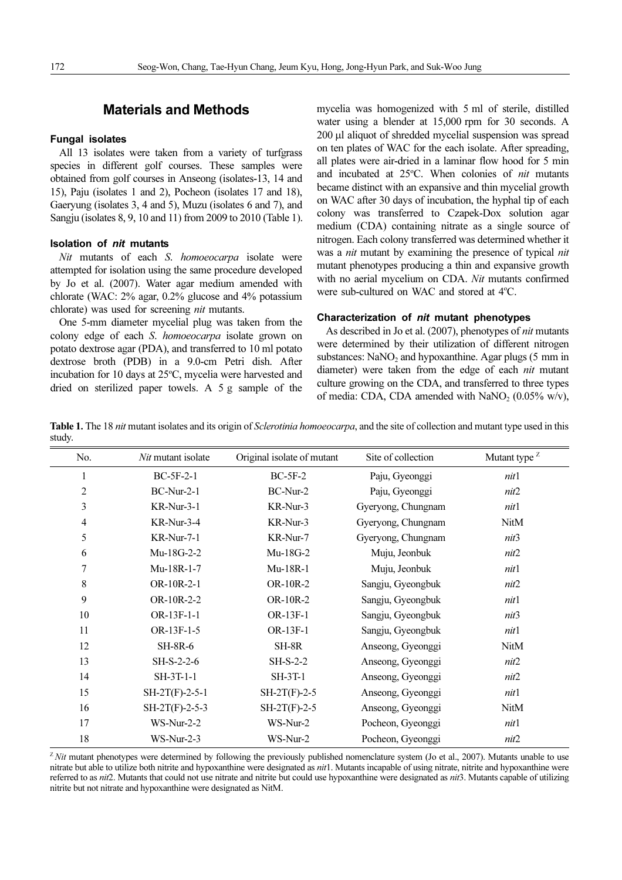### Materials and Methods

All 13 isolates were taken from a variety of turfgrass species in different golf courses. These samples were obtained from golf courses in Anseong (isolates-13, 14 and 15), Paju (isolates 1 and 2), Pocheon (isolates 17 and 18), Gaeryung (isolates 3, 4 and 5), Muzu (isolates 6 and 7), and Sangju (isolates 8, 9, 10 and 11) from 2009 to 2010 (Table 1).

### Isolation of nit mutants

Nit mutants of each S. homoeocarpa isolate were attempted for isolation using the same procedure developed by Jo et al. (2007). Water agar medium amended with chlorate (WAC: 2% agar, 0.2% glucose and 4% potassium chlorate) was used for screening nit mutants.

One 5-mm diameter mycelial plug was taken from the colony edge of each S. homoeocarpa isolate grown on potato dextrose agar (PDA), and transferred to 10 ml potato dextrose broth (PDB) in a 9.0-cm Petri dish. After incubation for 10 days at 25°C, mycelia were harvested and dried on sterilized paper towels. A 5 g sample of the

mycelia was homogenized with 5 ml of sterile, distilled water using a blender at 15,000 rpm for 30 seconds. A 200 *µ*l aliquot of shredded mycelial suspension was spread on ten plates of WAC for the each isolate. After spreading, all plates were air-dried in a laminar flow hood for 5 min and incubated at 25°C. When colonies of nit mutants became distinct with an expansive and thin mycelial growth on WAC after 30 days of incubation, the hyphal tip of each colony was transferred to Czapek-Dox solution agar medium (CDA) containing nitrate as a single source of nitrogen. Each colony transferred was determined whether it was a *nit* mutant by examining the presence of typical *nit* mutant phenotypes producing a thin and expansive growth with no aerial mycelium on CDA. Nit mutants confirmed were sub-cultured on WAC and stored at 4°C.

### Characterization of nit mutant phenotypes

As described in Jo et al. (2007), phenotypes of nit mutants were determined by their utilization of different nitrogen substances:  $NaNO<sub>2</sub>$  and hypoxanthine. Agar plugs (5 mm in diameter) were taken from the edge of each nit mutant culture growing on the CDA, and transferred to three types of media: CDA, CDA amended with  $NaNO<sub>2</sub>$  (0.05% w/v),

Table 1. The 18 nit mutant isolates and its origin of *Sclerotinia homoeocarpa*, and the site of collection and mutant type used in this study.

| No.            | Nit mutant isolate | Original isolate of mutant | Site of collection | Mutant type <sup>Z</sup> |  |  |
|----------------|--------------------|----------------------------|--------------------|--------------------------|--|--|
| 1              | $BC-5F-2-1$        | $BC-5F-2$                  | Paju, Gyeonggi     | nit1                     |  |  |
| $\overline{c}$ | $BC-Nur-2-1$       | BC-Nur-2                   | Paju, Gyeonggi     | nit2                     |  |  |
| 3              | $KR-Nur-3-1$       | KR-Nur-3                   | Gyeryong, Chungnam | nit1                     |  |  |
| 4              | KR-Nur-3-4         | KR-Nur-3                   | Gyeryong, Chungnam | <b>NitM</b>              |  |  |
| 5              | <b>KR-Nur-7-1</b>  | KR-Nur-7                   | Gyeryong, Chungnam | nit3                     |  |  |
| 6              | Mu-18G-2-2         | Mu-18G-2                   | Muju, Jeonbuk      | nit2                     |  |  |
| 7              | Mu-18R-1-7         | Mu-18R-1                   | Muju, Jeonbuk      | nit1                     |  |  |
| 8              | OR-10R-2-1         | OR-10R-2                   | Sangju, Gyeongbuk  | nit2                     |  |  |
| 9              | OR-10R-2-2         | OR-10R-2                   | Sangju, Gyeongbuk  | nit1                     |  |  |
| 10             | OR-13F-1-1         | OR-13F-1                   | Sangju, Gyeongbuk  | nit3                     |  |  |
| 11             | OR-13F-1-5         | OR-13F-1                   | Sangju, Gyeongbuk  | nit1                     |  |  |
| 12             | <b>SH-8R-6</b>     | SH-8R                      | Anseong, Gyeonggi  | NitM                     |  |  |
| 13             | SH-S-2-2-6         | $SH-S-2-2$                 | Anseong, Gyeonggi  | nit2                     |  |  |
| 14             | $SH-3T-1-1$        | <b>SH-3T-1</b>             | Anseong, Gyeonggi  | nit2                     |  |  |
| 15             | $SH-2T(F)-2-5-1$   | $SH-2T(F)-2-5$             | Anseong, Gyeonggi  | nit1                     |  |  |
| 16             | $SH-2T(F)-2-5-3$   | $SH-2T(F)-2-5$             | Anseong, Gyeonggi  | NitM                     |  |  |
| 17             | $WS-Nur-2-2$       | WS-Nur-2                   | Pocheon, Gyeonggi  | nit1                     |  |  |
| 18             | $WS-Nur-2-3$       | WS-Nur-2                   | Pocheon, Gyeonggi  | nit2                     |  |  |

 $Z$ *Nit* mutant phenotypes were determined by following the previously published nomenclature system (Jo et al., 2007). Mutants unable to use nitrate but able to utilize both nitrite and hypoxanthine were designated as *nit1*. Mutants incapable of using nitrate, nitrite and hypoxanthine were referred to as nit2. Mutants that could not use nitrate and nitrite but could use hypoxanthine were designated as nit3. Mutants capable of utilizing nitrite but not nitrate and hypoxanthine were designated as NitM.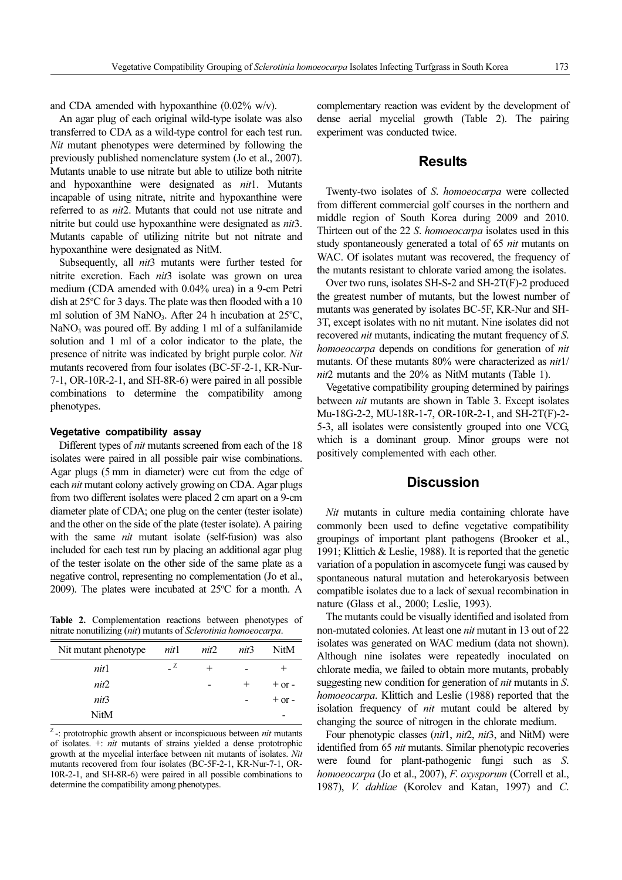and CDA amended with hypoxanthine  $(0.02\% \text{ w/v})$ .

An agar plug of each original wild-type isolate was also transferred to CDA as a wild-type control for each test run. Nit mutant phenotypes were determined by following the previously published nomenclature system (Jo et al., 2007). Mutants unable to use nitrate but able to utilize both nitrite and hypoxanthine were designated as nit1. Mutants incapable of using nitrate, nitrite and hypoxanthine were referred to as nit2. Mutants that could not use nitrate and nitrite but could use hypoxanthine were designated as nit3. Mutants capable of utilizing nitrite but not nitrate and hypoxanthine were designated as NitM.

Subsequently, all *nit3* mutants were further tested for nitrite excretion. Each nit3 isolate was grown on urea medium (CDA amended with 0.04% urea) in a 9-cm Petri dish at 25°C for 3 days. The plate was then flooded with a 10 ml solution of 3M NaNO<sub>3</sub>. After 24 h incubation at 25°C,  $NaNO<sub>3</sub>$  was poured off. By adding 1 ml of a sulfanilamide solution and 1 ml of a color indicator to the plate, the presence of nitrite was indicated by bright purple color. Nit mutants recovered from four isolates (BC-5F-2-1, KR-Nur-7-1, OR-10R-2-1, and SH-8R-6) were paired in all possible combinations to determine the compatibility among phenotypes.

Different types of *nit* mutants screened from each of the 18 isolates were paired in all possible pair wise combinations. Agar plugs (5 mm in diameter) were cut from the edge of each nit mutant colony actively growing on CDA. Agar plugs from two different isolates were placed 2 cm apart on a 9-cm diameter plate of CDA; one plug on the center (tester isolate) and the other on the side of the plate (tester isolate). A pairing with the same *nit* mutant isolate (self-fusion) was also included for each test run by placing an additional agar plug of the tester isolate on the other side of the same plate as a negative control, representing no complementation (Jo et al., 2009). The plates were incubated at  $25^{\circ}$ C for a month. A

Table 2. Complementation reactions between phenotypes of nitrate nonutilizing (nit) mutants of Sclerotinia homoeocarpa.

| Nit mutant phenotype | nit1     | nit2 | nit3 | NitM       |
|----------------------|----------|------|------|------------|
| nit1                 | $_{-}$ Z |      |      | $^+$       |
| nit2                 |          |      | $^+$ | $+$ or $-$ |
| nit3                 |          |      |      | $+$ or $-$ |
| NitM                 |          |      |      |            |

 $Z$ -: prototrophic growth absent or inconspicuous between *nit* mutants of isolates. +: nit mutants of strains yielded a dense prototrophic growth at the mycelial interface between nit mutants of isolates. Nit mutants recovered from four isolates (BC-5F-2-1, KR-Nur-7-1, OR-10R-2-1, and SH-8R-6) were paired in all possible combinations to determine the compatibility among phenotypes.

complementary reaction was evident by the development of dense aerial mycelial growth (Table 2). The pairing experiment was conducted twice.

### **Results**

Twenty-two isolates of S. homoeocarpa were collected from different commercial golf courses in the northern and middle region of South Korea during 2009 and 2010. Thirteen out of the 22 S. *homoeocarpa* isolates used in this study spontaneously generated a total of 65 *nit* mutants on WAC. Of isolates mutant was recovered, the frequency of the mutants resistant to chlorate varied among the isolates.

Over two runs, isolates SH-S-2 and SH-2T(F)-2 produced the greatest number of mutants, but the lowest number of mutants was generated by isolates BC-5F, KR-Nur and SH-3T, except isolates with no nit mutant. Nine isolates did not recovered nit mutants, indicating the mutant frequency of S. homoeocarpa depends on conditions for generation of nit mutants. Of these mutants 80% were characterized as nit1/ nit2 mutants and the 20% as NitM mutants (Table 1).

Vegetative compatibility grouping determined by pairings between *nit* mutants are shown in Table 3. Except isolates Mu-18G-2-2, MU-18R-1-7, OR-10R-2-1, and SH-2T(F)-2- 5-3, all isolates were consistently grouped into one VCG, which is a dominant group. Minor groups were not positively complemented with each other.

### **Discussion**

Nit mutants in culture media containing chlorate have commonly been used to define vegetative compatibility groupings of important plant pathogens (Brooker et al., 1991; Klittich & Leslie, 1988). It is reported that the genetic variation of a population in ascomycete fungi was caused by spontaneous natural mutation and heterokaryosis between compatible isolates due to a lack of sexual recombination in nature (Glass et al., 2000; Leslie, 1993).

The mutants could be visually identified and isolated from non-mutated colonies. At least one nit mutant in 13 out of 22 isolates was generated on WAC medium (data not shown). Although nine isolates were repeatedly inoculated on chlorate media, we failed to obtain more mutants, probably suggesting new condition for generation of *nit* mutants in S. homoeocarpa. Klittich and Leslie (1988) reported that the isolation frequency of nit mutant could be altered by changing the source of nitrogen in the chlorate medium.

Four phenotypic classes (nit1, nit2, nit3, and NitM) were identified from 65 *nit* mutants. Similar phenotypic recoveries were found for plant-pathogenic fungi such as S. homoeocarpa (Jo et al., 2007), F. oxysporum (Correll et al., 1987), V. dahliae (Korolev and Katan, 1997) and C.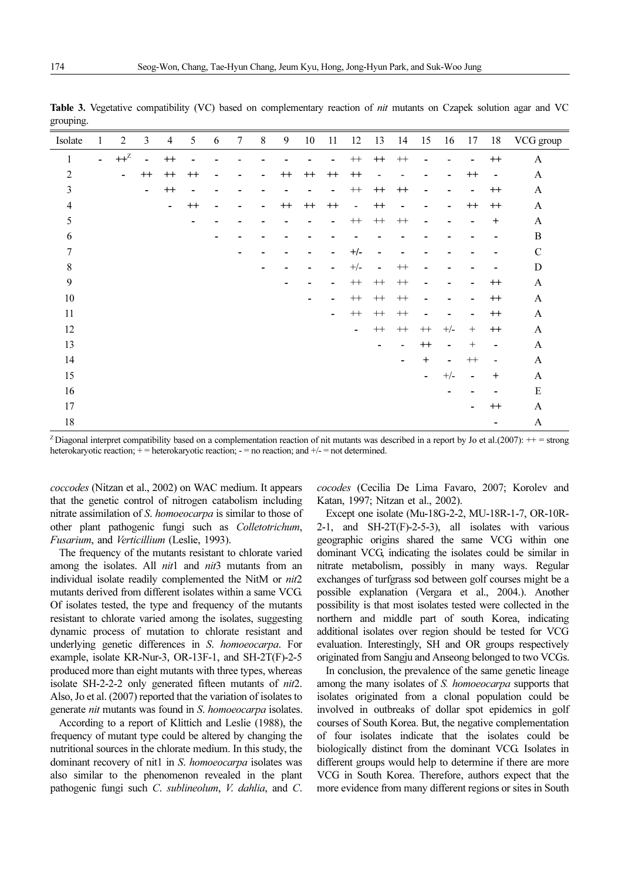| Isolate          | $\mathbf{1}$   | $\overline{2}$ | 3                        | 4              | 5       | 6                        | $\overline{7}$           | $\,8\,$                  | 9              | $10\,$                   | 11                       | 12             | 13                       | 14                       | 15                       | 16                       | 17                       | 18                       | VCG group    |
|------------------|----------------|----------------|--------------------------|----------------|---------|--------------------------|--------------------------|--------------------------|----------------|--------------------------|--------------------------|----------------|--------------------------|--------------------------|--------------------------|--------------------------|--------------------------|--------------------------|--------------|
| $\mathbf{1}$     | $\blacksquare$ | $++^Z$         | $\overline{\phantom{0}}$ | $^{++}$        |         |                          |                          |                          |                |                          |                          | $++$           | $^{++}$                  | $^{++}\,$                |                          | $\overline{a}$           |                          | $^{++}$                  | A            |
| $\overline{2}$   |                | $\blacksquare$ | $^{++}$                  | $^{++}$        | $^{++}$ |                          |                          | $\overline{\phantom{a}}$ | $^{++}$        | $^{++}$                  | $^{++}$                  | $^{++}$        | $\blacksquare$           |                          |                          | $\overline{a}$           | $^{++}$                  | $\overline{\phantom{a}}$ | $\mathbf{A}$ |
| $\mathfrak{Z}$   |                |                | $\overline{\phantom{0}}$ | $^{++}$        |         |                          |                          |                          |                |                          | $\blacksquare$           | $^{++}$        | $^{++}$                  | $^{++}$                  |                          | -                        | $\overline{\phantom{0}}$ | $^{++}$                  | $\mathbf{A}$ |
| $\overline{4}$   |                |                |                          | $\blacksquare$ | $^{++}$ | $\overline{\phantom{a}}$ | $\overline{a}$           | $\overline{a}$           | $^{++}$        | $^{++}$                  | $^{++}$                  | $\overline{a}$ | $^{++}$                  | $\overline{\phantom{a}}$ |                          | -                        | $++$                     | $^{++}$                  | A            |
| 5                |                |                |                          |                |         |                          |                          |                          |                |                          | $\overline{\phantom{a}}$ | $^{++}$        | $^{++}$                  | $^{++}$                  | $\overline{a}$           | -                        |                          | $^{+}$                   | A            |
| 6                |                |                |                          |                |         | $\blacksquare$           |                          |                          |                |                          |                          |                |                          |                          |                          |                          |                          |                          | $\, {\bf B}$ |
| 7                |                |                |                          |                |         |                          | $\overline{\phantom{a}}$ |                          |                |                          |                          | $+/-$          | $\blacksquare$           |                          |                          |                          |                          |                          | $\mathbf C$  |
| $\,8\,$          |                |                |                          |                |         |                          |                          |                          |                | -                        | $\overline{\phantom{a}}$ | $+/-$          | $\blacksquare$           | $^{++}\,$                |                          |                          |                          |                          | $\mathbf D$  |
| $\boldsymbol{9}$ |                |                |                          |                |         |                          |                          |                          | $\blacksquare$ | $\overline{a}$           | $\overline{\phantom{a}}$ | $^{++}\,$      | $^{++}$                  | $++$                     |                          | -                        | -                        | $^{++}$                  | $\mathbf{A}$ |
| 10               |                |                |                          |                |         |                          |                          |                          |                | $\overline{\phantom{a}}$ | $\overline{\phantom{a}}$ | $^{++}$        | $^{++}$                  | $++$                     | $\overline{\phantom{a}}$ | -                        | $\overline{\phantom{0}}$ | $^{++}$                  | $\mathbf{A}$ |
| 11               |                |                |                          |                |         |                          |                          |                          |                |                          | $\blacksquare$           | $^{++}$        | $^{++}$                  | $++$                     | $\overline{\phantom{a}}$ | -                        | $\overline{\phantom{a}}$ | $^{++}$                  | $\mathbf{A}$ |
| 12               |                |                |                          |                |         |                          |                          |                          |                |                          |                          | $\blacksquare$ | $^{++}$                  | $^{++}\,$                | $^{++}\,$                | $+/-$                    | $^{+}$                   | $^{++}$                  | $\mathbf{A}$ |
| 13               |                |                |                          |                |         |                          |                          |                          |                |                          |                          |                | $\overline{\phantom{a}}$ | $\overline{\phantom{a}}$ | $^{++}$                  | $\overline{\phantom{a}}$ | $\! +$                   | $\overline{\phantom{a}}$ | $\mathbf{A}$ |
| 14               |                |                |                          |                |         |                          |                          |                          |                |                          |                          |                |                          | $\blacksquare$           | $\mathrm{+}$             | -                        | $++$                     | $\overline{\phantom{a}}$ | $\mathbf{A}$ |
| 15               |                |                |                          |                |         |                          |                          |                          |                |                          |                          |                |                          |                          | $\overline{\phantom{0}}$ | $+/-$                    | $\overline{\phantom{a}}$ | $\mathrm{+}$             | $\mathbf{A}$ |
| 16               |                |                |                          |                |         |                          |                          |                          |                |                          |                          |                |                          |                          |                          | -                        |                          |                          | ${\bf E}$    |
| 17               |                |                |                          |                |         |                          |                          |                          |                |                          |                          |                |                          |                          |                          |                          | $\overline{\phantom{0}}$ | $^{++}$                  | A            |
| $18\,$           |                |                |                          |                |         |                          |                          |                          |                |                          |                          |                |                          |                          |                          |                          |                          | $\overline{\phantom{a}}$ | $\mathbf{A}$ |

Table 3. Vegetative compatibility (VC) based on complementary reaction of *nit* mutants on Czapek solution agar and VC grouping.

<sup>Z</sup> Diagonal interpret compatibility based on a complementation reaction of nit mutants was described in a report by Jo et al.(2007):  $++ =$  strong heterokaryotic reaction;  $+$  = heterokaryotic reaction;  $-$  = no reaction; and  $+$ / $-$  = not determined.

coccodes (Nitzan et al., 2002) on WAC medium. It appears that the genetic control of nitrogen catabolism including nitrate assimilation of S. homoeocarpa is similar to those of other plant pathogenic fungi such as Colletotrichum, Fusarium, and Verticillium (Leslie, 1993).

The frequency of the mutants resistant to chlorate varied among the isolates. All *nit*1 and *nit3* mutants from an individual isolate readily complemented the NitM or nit2 mutants derived from different isolates within a same VCG. Of isolates tested, the type and frequency of the mutants resistant to chlorate varied among the isolates, suggesting dynamic process of mutation to chlorate resistant and underlying genetic differences in S. homoeocarpa. For example, isolate KR-Nur-3, OR-13F-1, and SH-2T(F)-2-5 produced more than eight mutants with three types, whereas isolate SH-2-2-2 only generated fifteen mutants of nit2. Also, Jo et al. (2007) reported that the variation of isolates to generate nit mutants was found in S. homoeocarpa isolates.

According to a report of Klittich and Leslie (1988), the frequency of mutant type could be altered by changing the nutritional sources in the chlorate medium. In this study, the dominant recovery of nit1 in S. homoeocarpa isolates was also similar to the phenomenon revealed in the plant pathogenic fungi such C. sublineolum, V. dahlia, and C. cocodes (Cecilia De Lima Favaro, 2007; Korolev and Katan, 1997; Nitzan et al., 2002).

Except one isolate (Mu-18G-2-2, MU-18R-1-7, OR-10R-2-1, and  $SH-2T(F)-2-5-3$ , all isolates with various geographic origins shared the same VCG within one dominant VCG, indicating the isolates could be similar in nitrate metabolism, possibly in many ways. Regular exchanges of turfgrass sod between golf courses might be a possible explanation (Vergara et al., 2004.). Another possibility is that most isolates tested were collected in the northern and middle part of south Korea, indicating additional isolates over region should be tested for VCG evaluation. Interestingly, SH and OR groups respectively originated from Sangju and Anseong belonged to two VCGs.

In conclusion, the prevalence of the same genetic lineage among the many isolates of S. homoeocarpa supports that isolates originated from a clonal population could be involved in outbreaks of dollar spot epidemics in golf courses of South Korea. But, the negative complementation of four isolates indicate that the isolates could be biologically distinct from the dominant VCG. Isolates in different groups would help to determine if there are more VCG in South Korea. Therefore, authors expect that the more evidence from many different regions or sites in South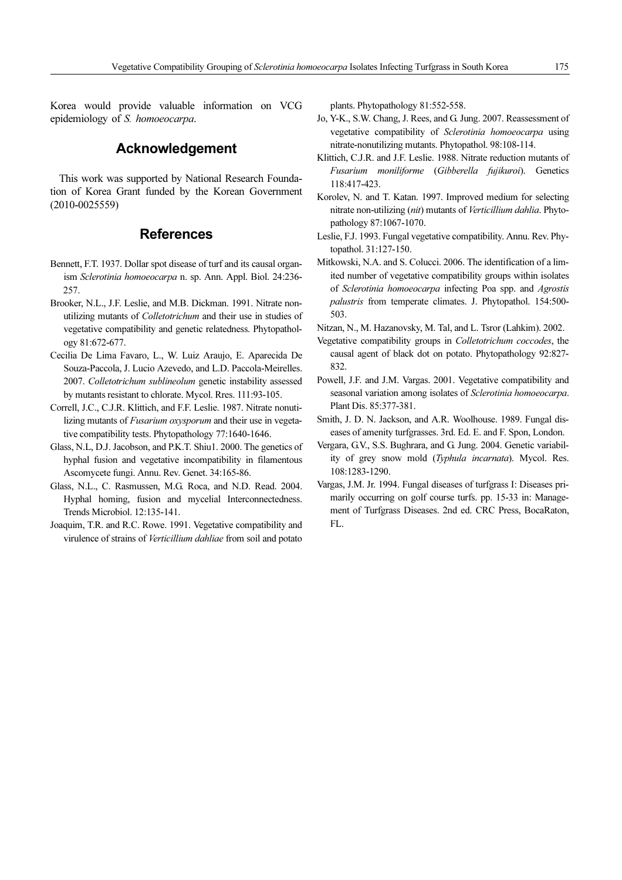Korea would provide valuable information on VCG epidemiology of S. homoeocarpa.

### Acknowledgement

This work was supported by National Research Foundation of Korea Grant funded by the Korean Government (2010-0025559)

### References

- Bennett, F.T. 1937. Dollar spot disease of turf and its causal organism Sclerotinia homoeocarpa n. sp. Ann. Appl. Biol. 24:236- 257.
- Brooker, N.L., J.F. Leslie, and M.B. Dickman. 1991. Nitrate nonutilizing mutants of Colletotrichum and their use in studies of vegetative compatibility and genetic relatedness. Phytopathology 81:672-677.
- Cecilia De Lima Favaro, L., W. Luiz Araujo, E. Aparecida De Souza-Paccola, J. Lucio Azevedo, and L.D. Paccola-Meirelles. 2007. Colletotrichum sublineolum genetic instability assessed by mutants resistant to chlorate. Mycol. Rres. 111:93-105.
- Correll, J.C., C.J.R. Klittich, and F.F. Leslie. 1987. Nitrate nonutilizing mutants of Fusarium oxysporum and their use in vegetative compatibility tests. Phytopathology 77:1640-1646.
- Glass, N.L, D.J. Jacobson, and P.K.T. Shiu1. 2000. The genetics of hyphal fusion and vegetative incompatibility in filamentous Ascomycete fungi. Annu. Rev. Genet. 34:165-86.
- Glass, N.L., C. Rasmussen, M.G. Roca, and N.D. Read. 2004. Hyphal homing, fusion and mycelial Interconnectedness. Trends Microbiol. 12:135-141.
- Joaquim, T.R. and R.C. Rowe. 1991. Vegetative compatibility and virulence of strains of Verticillium dahliae from soil and potato

plants. Phytopathology 81:552-558.

- Jo, Y-K., S.W. Chang, J. Rees, and G. Jung. 2007. Reassessment of vegetative compatibility of Sclerotinia homoeocarpa using nitrate-nonutilizing mutants. Phytopathol. 98:108-114.
- Klittich, C.J.R. and J.F. Leslie. 1988. Nitrate reduction mutants of Fusarium moniliforme (Gibberella fujikuroi). Genetics 118:417-423.
- Korolev, N. and T. Katan. 1997. Improved medium for selecting nitrate non-utilizing (nit) mutants of Verticillium dahlia. Phytopathology 87:1067-1070.
- Leslie, F.J. 1993. Fungal vegetative compatibility. Annu. Rev. Phytopathol. 31:127-150.
- Mitkowski, N.A. and S. Colucci. 2006. The identification of a limited number of vegetative compatibility groups within isolates of Sclerotinia homoeocarpa infecting Poa spp. and Agrostis palustris from temperate climates. J. Phytopathol. 154:500- 503.

Nitzan, N., M. Hazanovsky, M. Tal, and L. Tsror (Lahkim). 2002.

- Vegetative compatibility groups in Colletotrichum coccodes, the causal agent of black dot on potato. Phytopathology 92:827- 832.
- Powell, J.F. and J.M. Vargas. 2001. Vegetative compatibility and seasonal variation among isolates of Sclerotinia homoeocarpa. Plant Dis. 85:377-381.
- Smith, J. D. N. Jackson, and A.R. Woolhouse. 1989. Fungal diseases of amenity turfgrasses. 3rd. Ed. E. and F. Spon, London.
- Vergara, G.V., S.S. Bughrara, and G. Jung. 2004. Genetic variability of grey snow mold (Typhula incarnata). Mycol. Res. 108:1283-1290.
- Vargas, J.M. Jr. 1994. Fungal diseases of turfgrass I: Diseases primarily occurring on golf course turfs. pp. 15-33 in: Management of Turfgrass Diseases. 2nd ed. CRC Press, BocaRaton, FL.